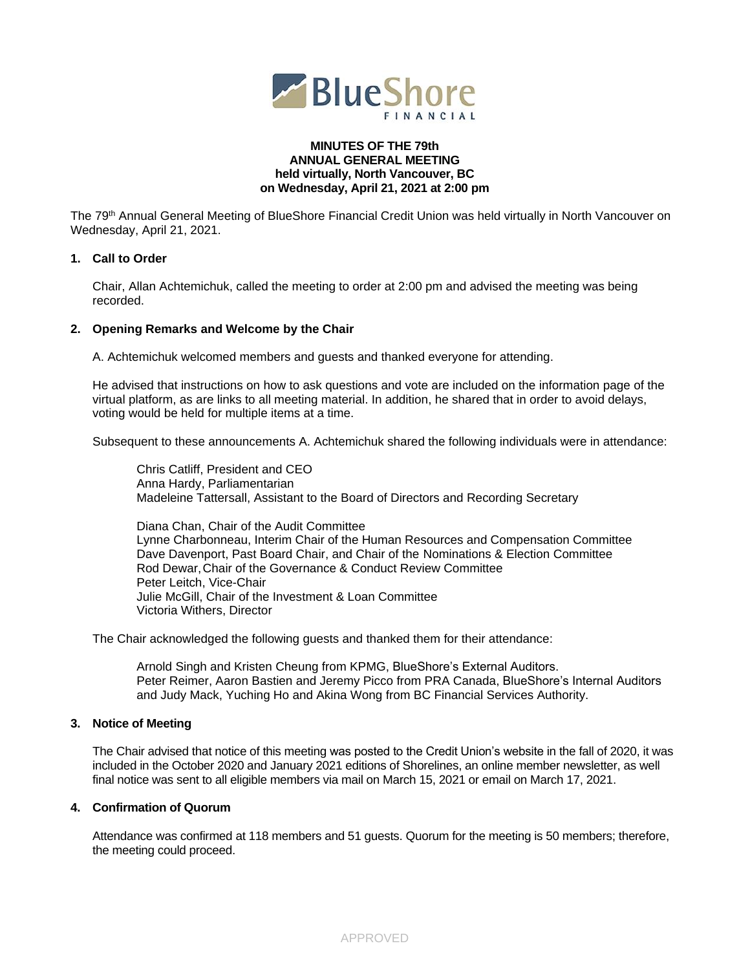

#### **MINUTES OF THE 79th ANNUAL GENERAL MEETING held virtually, North Vancouver, BC on Wednesday, April 21, 2021 at 2:00 pm**

The 79<sup>th</sup> Annual General Meeting of BlueShore Financial Credit Union was held virtually in North Vancouver on Wednesday, April 21, 2021.

## **1. Call to Order**

Chair, Allan Achtemichuk, called the meeting to order at 2:00 pm and advised the meeting was being recorded.

#### **2. Opening Remarks and Welcome by the Chair**

A. Achtemichuk welcomed members and guests and thanked everyone for attending.

He advised that instructions on how to ask questions and vote are included on the information page of the virtual platform, as are links to all meeting material. In addition, he shared that in order to avoid delays, voting would be held for multiple items at a time.

Subsequent to these announcements A. Achtemichuk shared the following individuals were in attendance:

Chris Catliff, President and CEO Anna Hardy, Parliamentarian Madeleine Tattersall, Assistant to the Board of Directors and Recording Secretary

Diana Chan, Chair of the Audit Committee Lynne Charbonneau, Interim Chair of the Human Resources and Compensation Committee Dave Davenport, Past Board Chair, and Chair of the Nominations & Election Committee Rod Dewar,Chair of the Governance & Conduct Review Committee Peter Leitch, Vice-Chair Julie McGill, Chair of the Investment & Loan Committee Victoria Withers, Director

The Chair acknowledged the following guests and thanked them for their attendance:

Arnold Singh and Kristen Cheung from KPMG, BlueShore's External Auditors. Peter Reimer, Aaron Bastien and Jeremy Picco from PRA Canada, BlueShore's Internal Auditors and Judy Mack, Yuching Ho and Akina Wong from BC Financial Services Authority.

## **3. Notice of Meeting**

The Chair advised that notice of this meeting was posted to the Credit Union's website in the fall of 2020, it was included in the October 2020 and January 2021 editions of Shorelines, an online member newsletter, as well final notice was sent to all eligible members via mail on March 15, 2021 or email on March 17, 2021.

# **4. Confirmation of Quorum**

Attendance was confirmed at 118 members and 51 guests. Quorum for the meeting is 50 members; therefore, the meeting could proceed.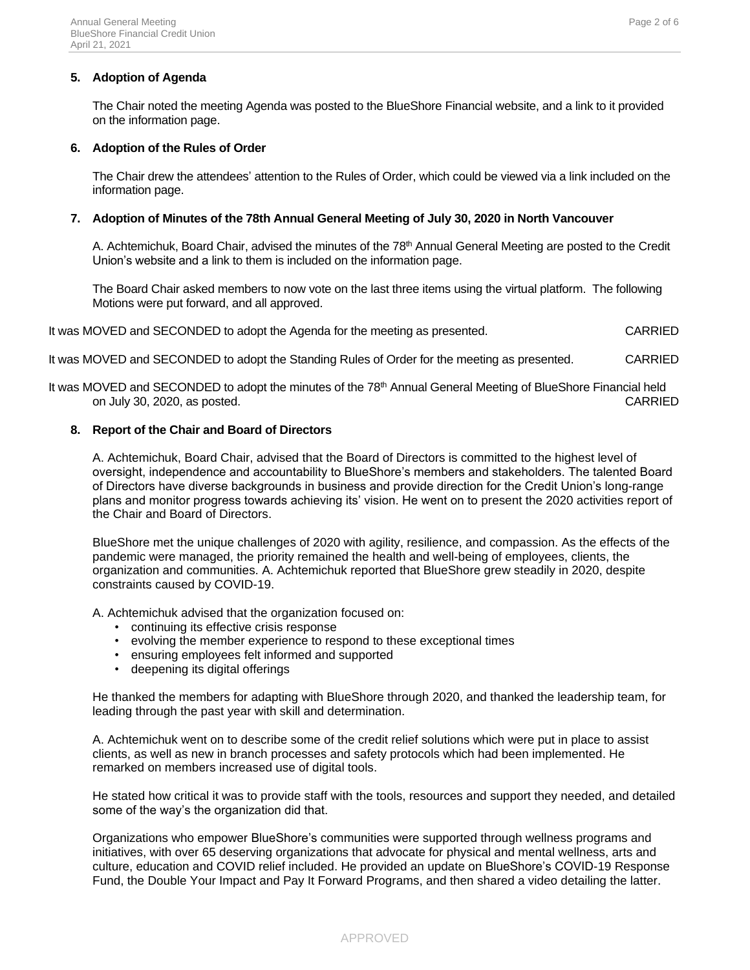## **5. Adoption of Agenda**

The Chair noted the meeting Agenda was posted to the BlueShore Financial website, and a link to it provided on the information page.

### **6. Adoption of the Rules of Order**

The Chair drew the attendees' attention to the Rules of Order, which could be viewed via a link included on the information page.

### **7. Adoption of Minutes of the 78th Annual General Meeting of July 30, 2020 in North Vancouver**

A. Achtemichuk, Board Chair, advised the minutes of the 78<sup>th</sup> Annual General Meeting are posted to the Credit Union's website and a link to them is included on the information page.

The Board Chair asked members to now vote on the last three items using the virtual platform. The following Motions were put forward, and all approved.

It was MOVED and SECONDED to adopt the Agenda for the meeting as presented. CARRIED

It was MOVED and SECONDED to adopt the Standing Rules of Order for the meeting as presented. CARRIED

It was MOVED and SECONDED to adopt the minutes of the 78<sup>th</sup> Annual General Meeting of BlueShore Financial held on July 30, 2020, as posted. CARRIED

## **8. Report of the Chair and Board of Directors**

A. Achtemichuk, Board Chair, advised that the Board of Directors is committed to the highest level of oversight, independence and accountability to BlueShore's members and stakeholders. The talented Board of Directors have diverse backgrounds in business and provide direction for the Credit Union's long-range plans and monitor progress towards achieving its' vision. He went on to present the 2020 activities report of the Chair and Board of Directors.

BlueShore met the unique challenges of 2020 with agility, resilience, and compassion. As the effects of the pandemic were managed, the priority remained the health and well-being of employees, clients, the organization and communities. A. Achtemichuk reported that BlueShore grew steadily in 2020, despite constraints caused by COVID-19.

A. Achtemichuk advised that the organization focused on:

- continuing its effective crisis response
- evolving the member experience to respond to these exceptional times
- ensuring employees felt informed and supported
- deepening its digital offerings

He thanked the members for adapting with BlueShore through 2020, and thanked the leadership team, for leading through the past year with skill and determination.

A. Achtemichuk went on to describe some of the credit relief solutions which were put in place to assist clients, as well as new in branch processes and safety protocols which had been implemented. He remarked on members increased use of digital tools.

He stated how critical it was to provide staff with the tools, resources and support they needed, and detailed some of the way's the organization did that.

Organizations who empower BlueShore's communities were supported through wellness programs and initiatives, with over 65 deserving organizations that advocate for physical and mental wellness, arts and culture, education and COVID relief included. He provided an update on BlueShore's COVID-19 Response Fund, the Double Your Impact and Pay It Forward Programs, and then shared a video detailing the latter.

#### APPROVED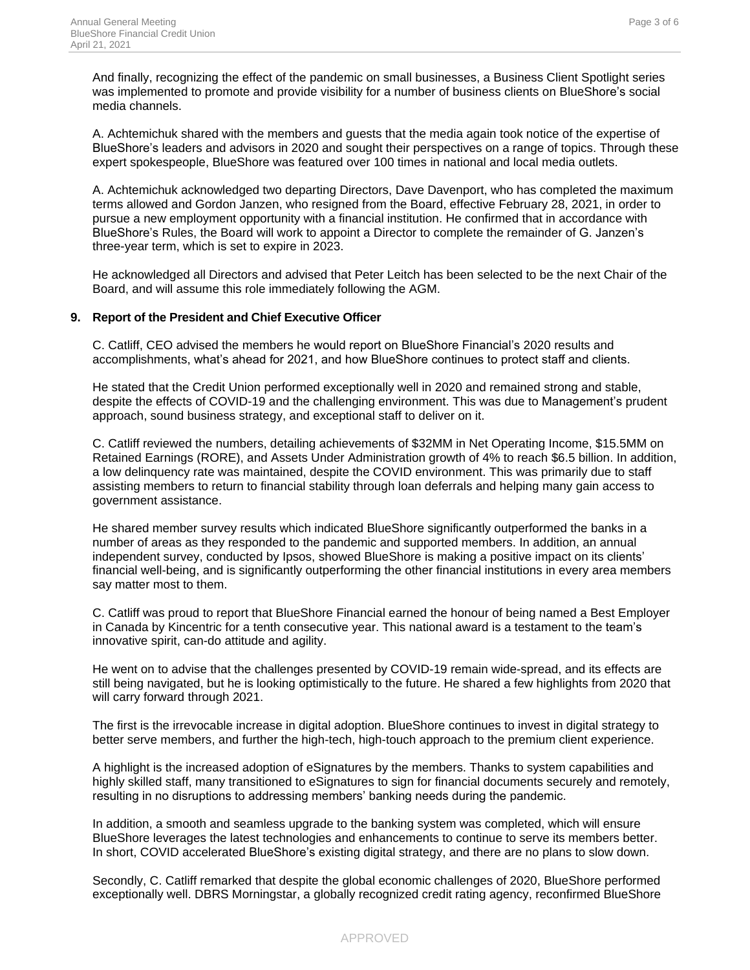And finally, recognizing the effect of the pandemic on small businesses, a Business Client Spotlight series was implemented to promote and provide visibility for a number of business clients on BlueShore's social media channels.

A. Achtemichuk shared with the members and guests that the media again took notice of the expertise of BlueShore's leaders and advisors in 2020 and sought their perspectives on a range of topics. Through these expert spokespeople, BlueShore was featured over 100 times in national and local media outlets.

A. Achtemichuk acknowledged two departing Directors, Dave Davenport, who has completed the maximum terms allowed and Gordon Janzen, who resigned from the Board, effective February 28, 2021, in order to pursue a new employment opportunity with a financial institution. He confirmed that in accordance with BlueShore's Rules, the Board will work to appoint a Director to complete the remainder of G. Janzen's three-year term, which is set to expire in 2023.

He acknowledged all Directors and advised that Peter Leitch has been selected to be the next Chair of the Board, and will assume this role immediately following the AGM.

#### **9. Report of the President and Chief Executive Officer**

C. Catliff, CEO advised the members he would report on BlueShore Financial's 2020 results and accomplishments, what's ahead for 2021, and how BlueShore continues to protect staff and clients.

He stated that the Credit Union performed exceptionally well in 2020 and remained strong and stable, despite the effects of COVID-19 and the challenging environment. This was due to Management's prudent approach, sound business strategy, and exceptional staff to deliver on it.

C. Catliff reviewed the numbers, detailing achievements of \$32MM in Net Operating Income, \$15.5MM on Retained Earnings (RORE), and Assets Under Administration growth of 4% to reach \$6.5 billion. In addition, a low delinquency rate was maintained, despite the COVID environment. This was primarily due to staff assisting members to return to financial stability through loan deferrals and helping many gain access to government assistance.

He shared member survey results which indicated BlueShore significantly outperformed the banks in a number of areas as they responded to the pandemic and supported members. In addition, an annual independent survey, conducted by Ipsos, showed BlueShore is making a positive impact on its clients' financial well-being, and is significantly outperforming the other financial institutions in every area members say matter most to them.

C. Catliff was proud to report that BlueShore Financial earned the honour of being named a Best Employer in Canada by Kincentric for a tenth consecutive year. This national award is a testament to the team's innovative spirit, can-do attitude and agility.

He went on to advise that the challenges presented by COVID-19 remain wide-spread, and its effects are still being navigated, but he is looking optimistically to the future. He shared a few highlights from 2020 that will carry forward through 2021.

The first is the irrevocable increase in digital adoption. BlueShore continues to invest in digital strategy to better serve members, and further the high-tech, high-touch approach to the premium client experience.

A highlight is the increased adoption of eSignatures by the members. Thanks to system capabilities and highly skilled staff, many transitioned to eSignatures to sign for financial documents securely and remotely, resulting in no disruptions to addressing members' banking needs during the pandemic.

In addition, a smooth and seamless upgrade to the banking system was completed, which will ensure BlueShore leverages the latest technologies and enhancements to continue to serve its members better. In short, COVID accelerated BlueShore's existing digital strategy, and there are no plans to slow down.

Secondly, C. Catliff remarked that despite the global economic challenges of 2020, BlueShore performed exceptionally well. DBRS Morningstar, a globally recognized credit rating agency, reconfirmed BlueShore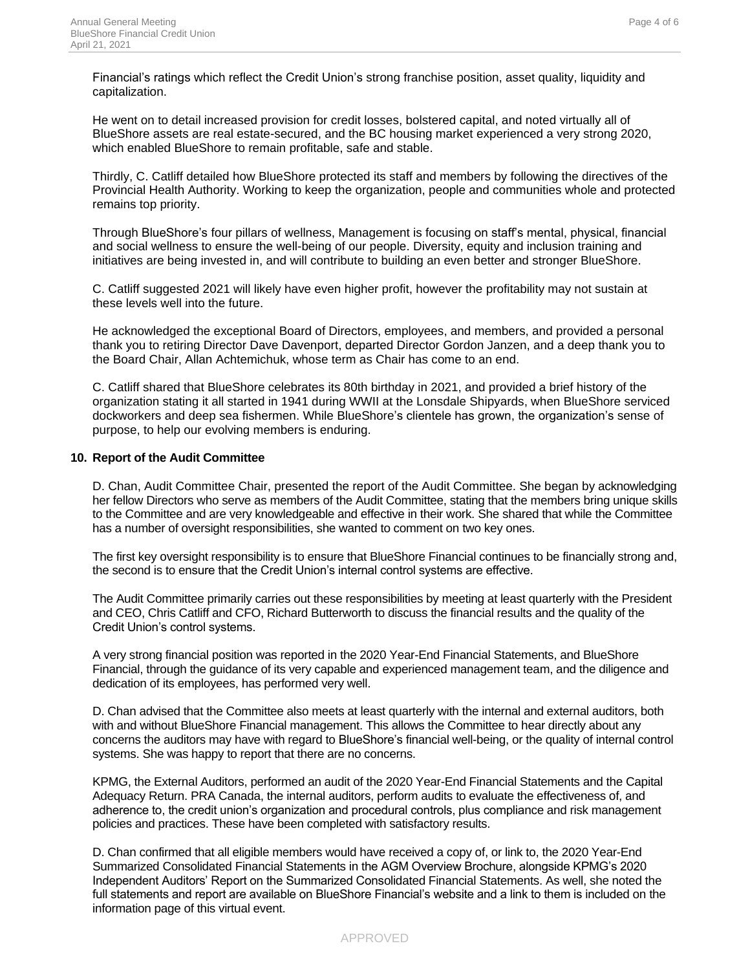Financial's ratings which reflect the Credit Union's strong franchise position, asset quality, liquidity and capitalization.

He went on to detail increased provision for credit losses, bolstered capital, and noted virtually all of BlueShore assets are real estate-secured, and the BC housing market experienced a very strong 2020, which enabled BlueShore to remain profitable, safe and stable.

Thirdly, C. Catliff detailed how BlueShore protected its staff and members by following the directives of the Provincial Health Authority. Working to keep the organization, people and communities whole and protected remains top priority.

Through BlueShore's four pillars of wellness, Management is focusing on staff's mental, physical, financial and social wellness to ensure the well-being of our people. Diversity, equity and inclusion training and initiatives are being invested in, and will contribute to building an even better and stronger BlueShore.

C. Catliff suggested 2021 will likely have even higher profit, however the profitability may not sustain at these levels well into the future.

He acknowledged the exceptional Board of Directors, employees, and members, and provided a personal thank you to retiring Director Dave Davenport, departed Director Gordon Janzen, and a deep thank you to the Board Chair, Allan Achtemichuk, whose term as Chair has come to an end.

C. Catliff shared that BlueShore celebrates its 80th birthday in 2021, and provided a brief history of the organization stating it all started in 1941 during WWII at the Lonsdale Shipyards, when BlueShore serviced dockworkers and deep sea fishermen. While BlueShore's clientele has grown, the organization's sense of purpose, to help our evolving members is enduring.

## **10. Report of the Audit Committee**

D. Chan, Audit Committee Chair, presented the report of the Audit Committee. She began by acknowledging her fellow Directors who serve as members of the Audit Committee, stating that the members bring unique skills to the Committee and are very knowledgeable and effective in their work. She shared that while the Committee has a number of oversight responsibilities, she wanted to comment on two key ones.

The first key oversight responsibility is to ensure that BlueShore Financial continues to be financially strong and, the second is to ensure that the Credit Union's internal control systems are effective.

The Audit Committee primarily carries out these responsibilities by meeting at least quarterly with the President and CEO, Chris Catliff and CFO, Richard Butterworth to discuss the financial results and the quality of the Credit Union's control systems.

A very strong financial position was reported in the 2020 Year-End Financial Statements, and BlueShore Financial, through the guidance of its very capable and experienced management team, and the diligence and dedication of its employees, has performed very well.

D. Chan advised that the Committee also meets at least quarterly with the internal and external auditors, both with and without BlueShore Financial management. This allows the Committee to hear directly about any concerns the auditors may have with regard to BlueShore's financial well-being, or the quality of internal control systems. She was happy to report that there are no concerns.

KPMG, the External Auditors, performed an audit of the 2020 Year-End Financial Statements and the Capital Adequacy Return. PRA Canada, the internal auditors, perform audits to evaluate the effectiveness of, and adherence to, the credit union's organization and procedural controls, plus compliance and risk management policies and practices. These have been completed with satisfactory results.

D. Chan confirmed that all eligible members would have received a copy of, or link to, the 2020 Year-End Summarized Consolidated Financial Statements in the AGM Overview Brochure, alongside KPMG's 2020 Independent Auditors' Report on the Summarized Consolidated Financial Statements. As well, she noted the full statements and report are available on BlueShore Financial's website and a link to them is included on the information page of this virtual event.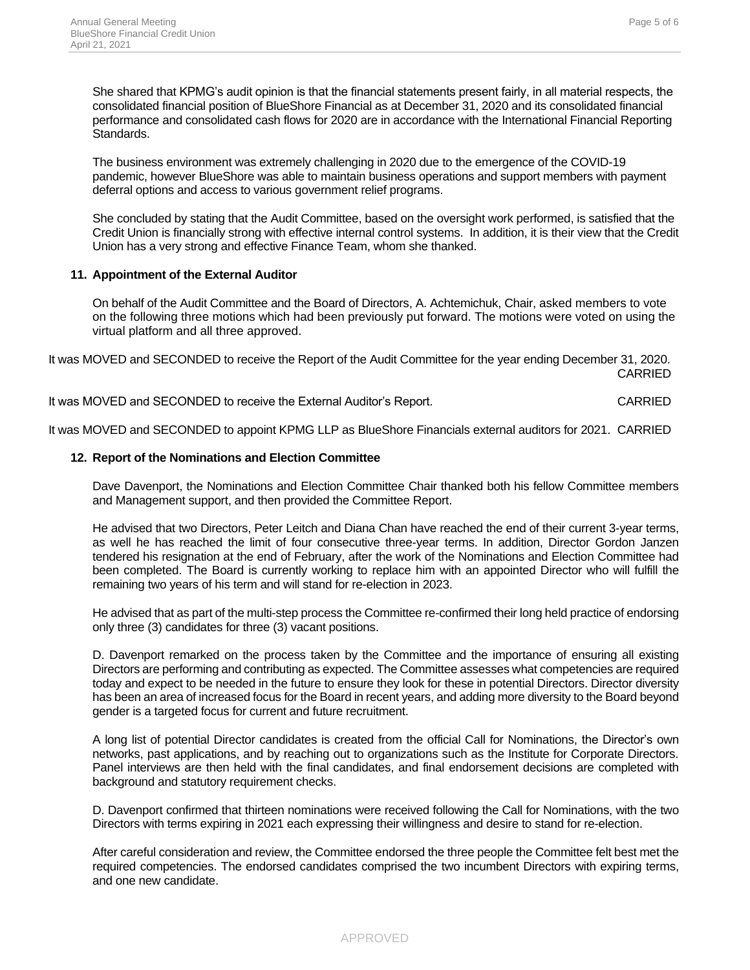She shared that KPMG's audit opinion is that the financial statements present fairly, in all material respects, the consolidated financial position of BlueShore Financial as at December 31, 2020 and its consolidated financial performance and consolidated cash flows for 2020 are in accordance with the International Financial Reporting Standards.

The business environment was extremely challenging in 2020 due to the emergence of the COVID-19 pandemic, however BlueShore was able to maintain business operations and support members with payment deferral options and access to various government relief programs.

She concluded by stating that the Audit Committee, based on the oversight work performed, is satisfied that the Credit Union is financially strong with effective internal control systems. In addition, it is their view that the Credit Union has a very strong and effective Finance Team, whom she thanked.

## **11. Appointment of the External Auditor**

On behalf of the Audit Committee and the Board of Directors, A. Achtemichuk, Chair, asked members to vote on the following three motions which had been previously put forward. The motions were voted on using the virtual platform and all three approved.

It was MOVED and SECONDED to receive the Report of the Audit Committee for the year ending December 31, 2020. CARRIED

It was MOVED and SECONDED to receive the External Auditor's Report. CARRIED

It was MOVED and SECONDED to appoint KPMG LLP as BlueShore Financials external auditors for 2021. CARRIED

#### **12. Report of the Nominations and Election Committee**

Dave Davenport, the Nominations and Election Committee Chair thanked both his fellow Committee members and Management support, and then provided the Committee Report.

He advised that two Directors, Peter Leitch and Diana Chan have reached the end of their current 3-year terms, as well he has reached the limit of four consecutive three-year terms. In addition, Director Gordon Janzen tendered his resignation at the end of February, after the work of the Nominations and Election Committee had been completed. The Board is currently working to replace him with an appointed Director who will fulfill the remaining two years of his term and will stand for re-election in 2023.

He advised that as part of the multi-step process the Committee re-confirmed their long held practice of endorsing only three (3) candidates for three (3) vacant positions.

D. Davenport remarked on the process taken by the Committee and the importance of ensuring all existing Directors are performing and contributing as expected. The Committee assesses what competencies are required today and expect to be needed in the future to ensure they look for these in potential Directors. Director diversity has been an area of increased focus for the Board in recent years, and adding more diversity to the Board beyond gender is a targeted focus for current and future recruitment.

A long list of potential Director candidates is created from the official Call for Nominations, the Director's own networks, past applications, and by reaching out to organizations such as the Institute for Corporate Directors. Panel interviews are then held with the final candidates, and final endorsement decisions are completed with background and statutory requirement checks.

D. Davenport confirmed that thirteen nominations were received following the Call for Nominations, with the two Directors with terms expiring in 2021 each expressing their willingness and desire to stand for re-election.

After careful consideration and review, the Committee endorsed the three people the Committee felt best met the required competencies. The endorsed candidates comprised the two incumbent Directors with expiring terms, and one new candidate.